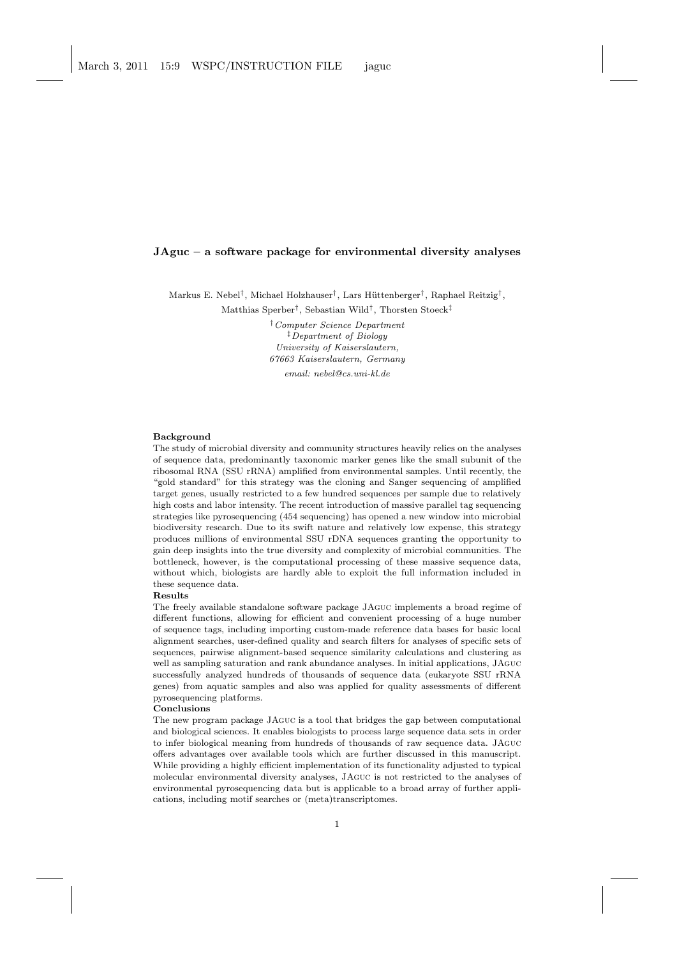### JAguc – a software package for environmental diversity analyses

Markus E. Nebel<sup>†</sup>, Michael Holzhauser<sup>†</sup>, Lars Hüttenberger<sup>†</sup>, Raphael Reitzig<sup>†</sup>,

Matthias Sperber† , Sebastian Wild† , Thorsten Stoeck‡

†Computer Science Department ‡Department of Biology University of Kaiserslautern, 67663 Kaiserslautern, Germany email: nebel@cs.uni-kl.de

#### **Background**

The study of microbial diversity and community structures heavily relies on the analyses of sequence data, predominantly taxonomic marker genes like the small subunit of the ribosomal RNA (SSU rRNA) amplified from environmental samples. Until recently, the "gold standard" for this strategy was the cloning and Sanger sequencing of amplified target genes, usually restricted to a few hundred sequences per sample due to relatively high costs and labor intensity. The recent introduction of massive parallel tag sequencing strategies like pyrosequencing (454 sequencing) has opened a new window into microbial biodiversity research. Due to its swift nature and relatively low expense, this strategy produces millions of environmental SSU rDNA sequences granting the opportunity to gain deep insights into the true diversity and complexity of microbial communities. The bottleneck, however, is the computational processing of these massive sequence data, without which, biologists are hardly able to exploit the full information included in these sequence data.

#### Results

The freely available standalone software package JAguc implements a broad regime of different functions, allowing for efficient and convenient processing of a huge number of sequence tags, including importing custom-made reference data bases for basic local alignment searches, user-defined quality and search filters for analyses of specific sets of sequences, pairwise alignment-based sequence similarity calculations and clustering as well as sampling saturation and rank abundance analyses. In initial applications, JAguc successfully analyzed hundreds of thousands of sequence data (eukaryote SSU rRNA genes) from aquatic samples and also was applied for quality assessments of different pyrosequencing platforms.

#### Conclusions

The new program package JAguc is a tool that bridges the gap between computational and biological sciences. It enables biologists to process large sequence data sets in order to infer biological meaning from hundreds of thousands of raw sequence data. JAguc offers advantages over available tools which are further discussed in this manuscript. While providing a highly efficient implementation of its functionality adjusted to typical molecular environmental diversity analyses, JAguc is not restricted to the analyses of environmental pyrosequencing data but is applicable to a broad array of further applications, including motif searches or (meta)transcriptomes.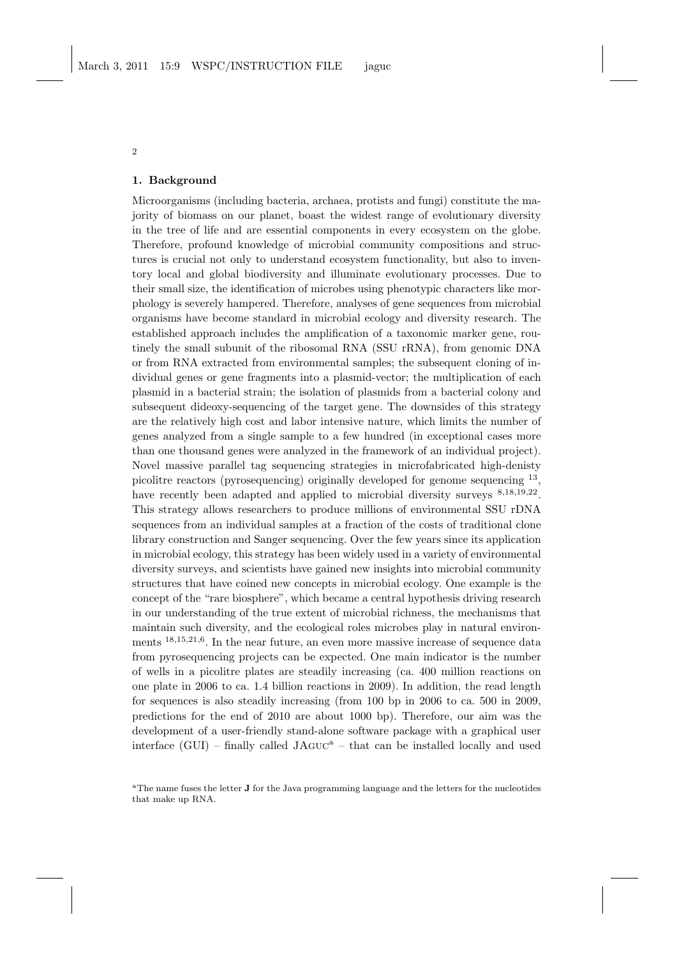#### 1. Background

Microorganisms (including bacteria, archaea, protists and fungi) constitute the majority of biomass on our planet, boast the widest range of evolutionary diversity in the tree of life and are essential components in every ecosystem on the globe. Therefore, profound knowledge of microbial community compositions and structures is crucial not only to understand ecosystem functionality, but also to inventory local and global biodiversity and illuminate evolutionary processes. Due to their small size, the identification of microbes using phenotypic characters like morphology is severely hampered. Therefore, analyses of gene sequences from microbial organisms have become standard in microbial ecology and diversity research. The established approach includes the amplification of a taxonomic marker gene, routinely the small subunit of the ribosomal RNA (SSU rRNA), from genomic DNA or from RNA extracted from environmental samples; the subsequent cloning of individual genes or gene fragments into a plasmid-vector; the multiplication of each plasmid in a bacterial strain; the isolation of plasmids from a bacterial colony and subsequent dideoxy-sequencing of the target gene. The downsides of this strategy are the relatively high cost and labor intensive nature, which limits the number of genes analyzed from a single sample to a few hundred (in exceptional cases more than one thousand genes were analyzed in the framework of an individual project). Novel massive parallel tag sequencing strategies in microfabricated high-denisty picolitre reactors (pyrosequencing) originally developed for genome sequencing <sup>13</sup>, have recently been adapted and applied to microbial diversity surveys  $8,18,19,22$ . This strategy allows researchers to produce millions of environmental SSU rDNA sequences from an individual samples at a fraction of the costs of traditional clone library construction and Sanger sequencing. Over the few years since its application in microbial ecology, this strategy has been widely used in a variety of environmental diversity surveys, and scientists have gained new insights into microbial community structures that have coined new concepts in microbial ecology. One example is the concept of the "rare biosphere", which became a central hypothesis driving research in our understanding of the true extent of microbial richness, the mechanisms that maintain such diversity, and the ecological roles microbes play in natural environments <sup>18,15,21,6</sup>. In the near future, an even more massive increase of sequence data from pyrosequencing projects can be expected. One main indicator is the number of wells in a picolitre plates are steadily increasing (ca. 400 million reactions on one plate in 2006 to ca. 1.4 billion reactions in 2009). In addition, the read length for sequences is also steadily increasing (from 100 bp in 2006 to ca. 500 in 2009, predictions for the end of 2010 are about 1000 bp). Therefore, our aim was the development of a user-friendly stand-alone software package with a graphical user interface (GUI) – finally called  $JAGUC^a$  – that can be installed locally and used

<sup>&</sup>lt;sup>a</sup>The name fuses the letter **J** for the Java programming language and the letters for the nucleotides that make up RNA.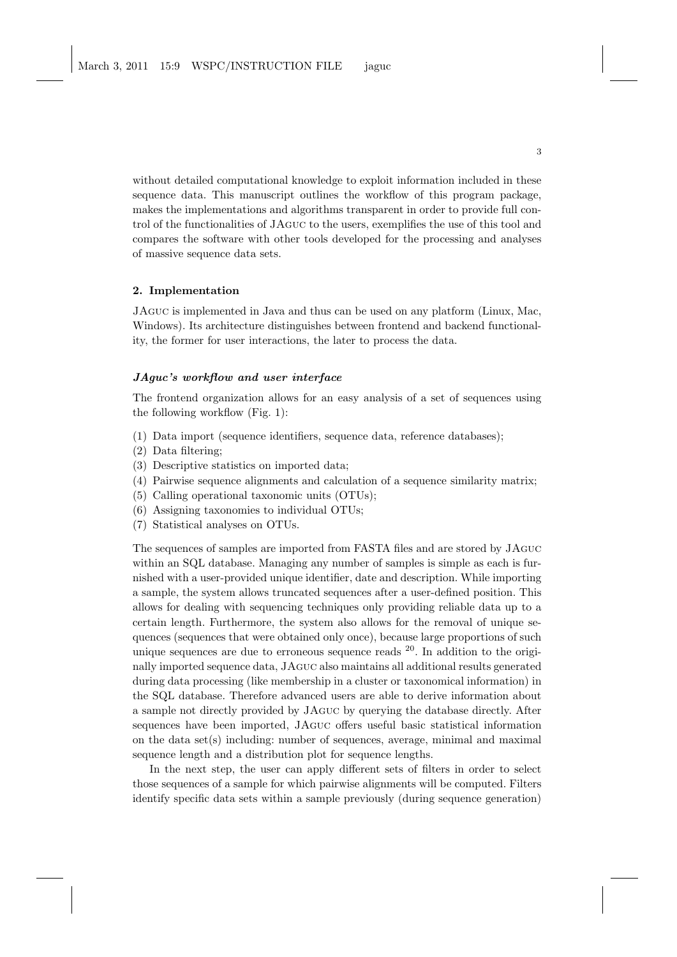without detailed computational knowledge to exploit information included in these sequence data. This manuscript outlines the workflow of this program package, makes the implementations and algorithms transparent in order to provide full control of the functionalities of JAguc to the users, exemplifies the use of this tool and compares the software with other tools developed for the processing and analyses of massive sequence data sets.

### 2. Implementation

JAguc is implemented in Java and thus can be used on any platform (Linux, Mac, Windows). Its architecture distinguishes between frontend and backend functionality, the former for user interactions, the later to process the data.

## JAguc's workflow and user interface

The frontend organization allows for an easy analysis of a set of sequences using the following workflow (Fig. 1):

- (1) Data import (sequence identifiers, sequence data, reference databases);
- (2) Data filtering;
- (3) Descriptive statistics on imported data;
- (4) Pairwise sequence alignments and calculation of a sequence similarity matrix;
- (5) Calling operational taxonomic units (OTUs);
- (6) Assigning taxonomies to individual OTUs;
- (7) Statistical analyses on OTUs.

The sequences of samples are imported from FASTA files and are stored by JAguc within an SQL database. Managing any number of samples is simple as each is furnished with a user-provided unique identifier, date and description. While importing a sample, the system allows truncated sequences after a user-defined position. This allows for dealing with sequencing techniques only providing reliable data up to a certain length. Furthermore, the system also allows for the removal of unique sequences (sequences that were obtained only once), because large proportions of such unique sequences are due to erroneous sequence reads  $^{20}$ . In addition to the originally imported sequence data, JAguc also maintains all additional results generated during data processing (like membership in a cluster or taxonomical information) in the SQL database. Therefore advanced users are able to derive information about a sample not directly provided by JAguc by querying the database directly. After sequences have been imported, JAguc offers useful basic statistical information on the data  $set(s)$  including: number of sequences, average, minimal and maximal sequence length and a distribution plot for sequence lengths.

In the next step, the user can apply different sets of filters in order to select those sequences of a sample for which pairwise alignments will be computed. Filters identify specific data sets within a sample previously (during sequence generation)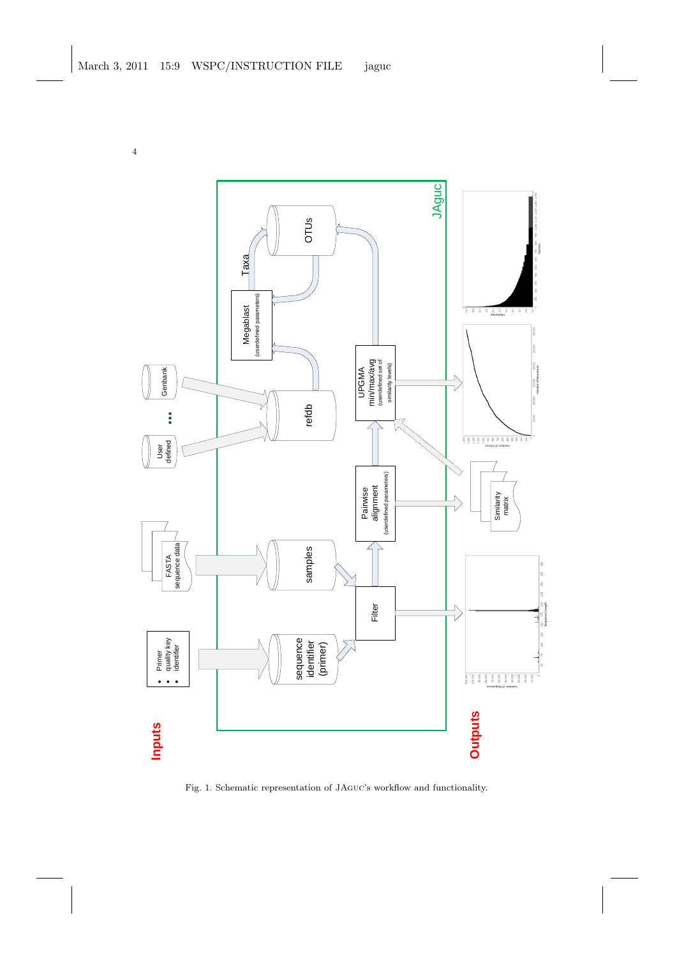

Fig. 1. Schematic representation of JAguc's workflow and functionality.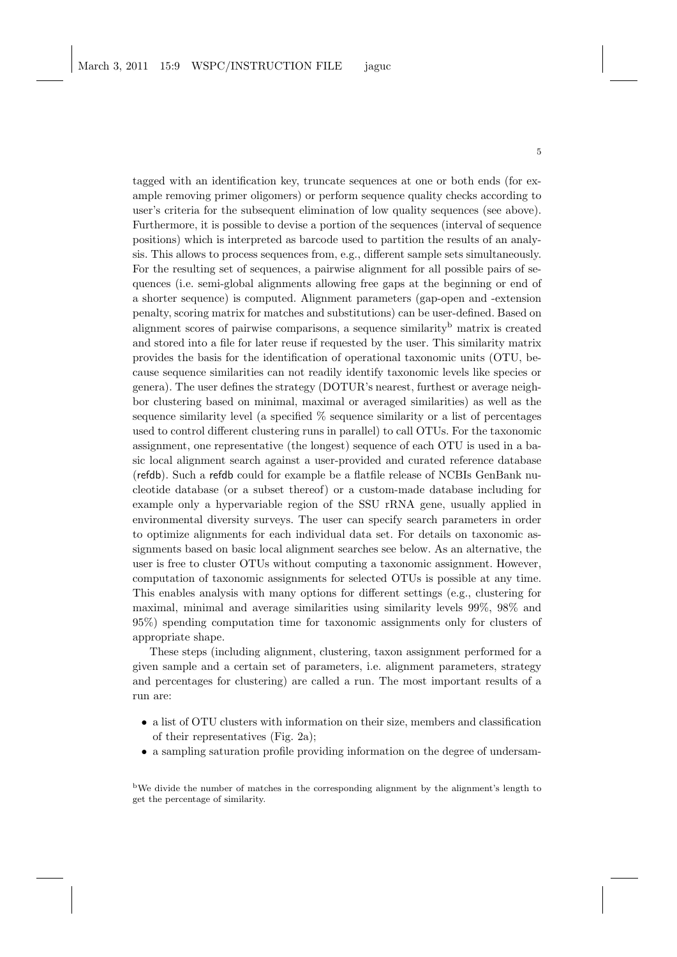tagged with an identification key, truncate sequences at one or both ends (for example removing primer oligomers) or perform sequence quality checks according to user's criteria for the subsequent elimination of low quality sequences (see above). Furthermore, it is possible to devise a portion of the sequences (interval of sequence positions) which is interpreted as barcode used to partition the results of an analysis. This allows to process sequences from, e.g., different sample sets simultaneously. For the resulting set of sequences, a pairwise alignment for all possible pairs of sequences (i.e. semi-global alignments allowing free gaps at the beginning or end of a shorter sequence) is computed. Alignment parameters (gap-open and -extension penalty, scoring matrix for matches and substitutions) can be user-defined. Based on alignment scores of pairwise comparisons, a sequence similarity<sup>b</sup> matrix is created and stored into a file for later reuse if requested by the user. This similarity matrix provides the basis for the identification of operational taxonomic units (OTU, because sequence similarities can not readily identify taxonomic levels like species or genera). The user defines the strategy (DOTUR's nearest, furthest or average neighbor clustering based on minimal, maximal or averaged similarities) as well as the sequence similarity level (a specified % sequence similarity or a list of percentages used to control different clustering runs in parallel) to call OTUs. For the taxonomic assignment, one representative (the longest) sequence of each OTU is used in a basic local alignment search against a user-provided and curated reference database (refdb). Such a refdb could for example be a flatfile release of NCBIs GenBank nucleotide database (or a subset thereof) or a custom-made database including for example only a hypervariable region of the SSU rRNA gene, usually applied in environmental diversity surveys. The user can specify search parameters in order to optimize alignments for each individual data set. For details on taxonomic assignments based on basic local alignment searches see below. As an alternative, the user is free to cluster OTUs without computing a taxonomic assignment. However, computation of taxonomic assignments for selected OTUs is possible at any time. This enables analysis with many options for different settings (e.g., clustering for maximal, minimal and average similarities using similarity levels 99%, 98% and 95%) spending computation time for taxonomic assignments only for clusters of appropriate shape.

These steps (including alignment, clustering, taxon assignment performed for a given sample and a certain set of parameters, i.e. alignment parameters, strategy and percentages for clustering) are called a run. The most important results of a run are:

- a list of OTU clusters with information on their size, members and classification of their representatives (Fig. 2a);
- a sampling saturation profile providing information on the degree of undersam-

<sup>b</sup>We divide the number of matches in the corresponding alignment by the alignment's length to get the percentage of similarity.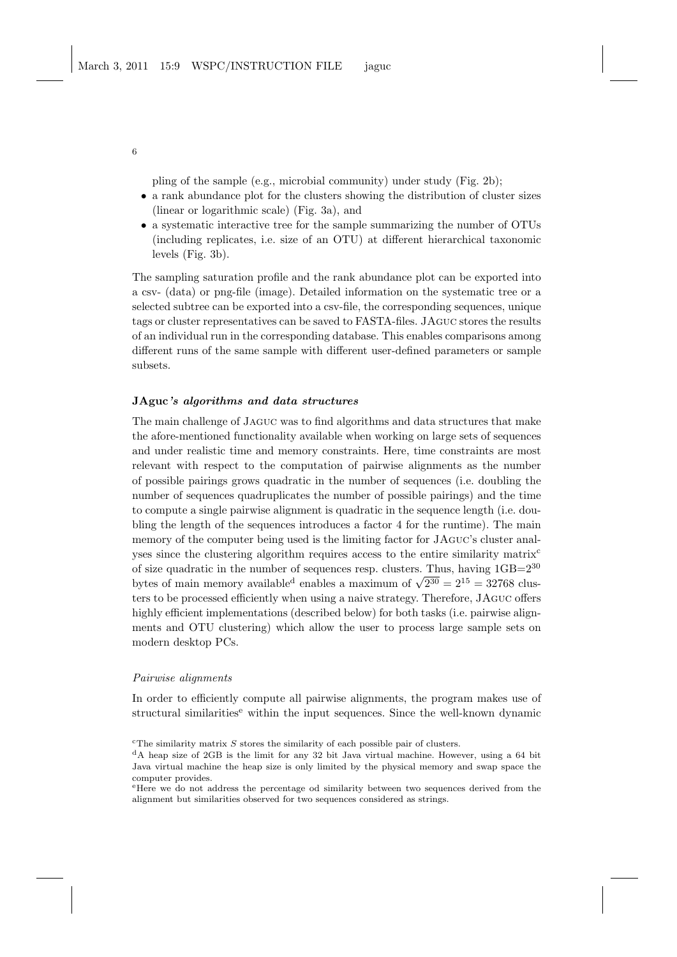pling of the sample (e.g., microbial community) under study (Fig. 2b);

- a rank abundance plot for the clusters showing the distribution of cluster sizes (linear or logarithmic scale) (Fig. 3a), and
- a systematic interactive tree for the sample summarizing the number of OTUs (including replicates, i.e. size of an OTU) at different hierarchical taxonomic levels (Fig. 3b).

The sampling saturation profile and the rank abundance plot can be exported into a csv- (data) or png-file (image). Detailed information on the systematic tree or a selected subtree can be exported into a csv-file, the corresponding sequences, unique tags or cluster representatives can be saved to FASTA-files. JAguc stores the results of an individual run in the corresponding database. This enables comparisons among different runs of the same sample with different user-defined parameters or sample subsets.

#### JAguc's algorithms and data structures

The main challenge of Jaguc was to find algorithms and data structures that make the afore-mentioned functionality available when working on large sets of sequences and under realistic time and memory constraints. Here, time constraints are most relevant with respect to the computation of pairwise alignments as the number of possible pairings grows quadratic in the number of sequences (i.e. doubling the number of sequences quadruplicates the number of possible pairings) and the time to compute a single pairwise alignment is quadratic in the sequence length (i.e. doubling the length of the sequences introduces a factor 4 for the runtime). The main memory of the computer being used is the limiting factor for JAguc's cluster analyses since the clustering algorithm requires access to the entire similarity matrix<sup>c</sup> of size quadratic in the number of sequences resp. clusters. Thus, having  $1GB=2^{30}$ bytes of main memory available<sup>d</sup> enables a maximum of  $\sqrt{2^{30}} = 2^{15} = 32768$  clusters. ters to be processed efficiently when using a naive strategy. Therefore, JAguc offers highly efficient implementations (described below) for both tasks (i.e. pairwise alignments and OTU clustering) which allow the user to process large sample sets on modern desktop PCs.

#### Pairwise alignments

In order to efficiently compute all pairwise alignments, the program makes use of structural similarities<sup>e</sup> within the input sequences. Since the well-known dynamic

 $c$ <sup>c</sup>The similarity matrix  $S$  stores the similarity of each possible pair of clusters.

 ${}^{d}$ A heap size of 2GB is the limit for any 32 bit Java virtual machine. However, using a 64 bit Java virtual machine the heap size is only limited by the physical memory and swap space the computer provides.

<sup>e</sup>Here we do not address the percentage od similarity between two sequences derived from the alignment but similarities observed for two sequences considered as strings.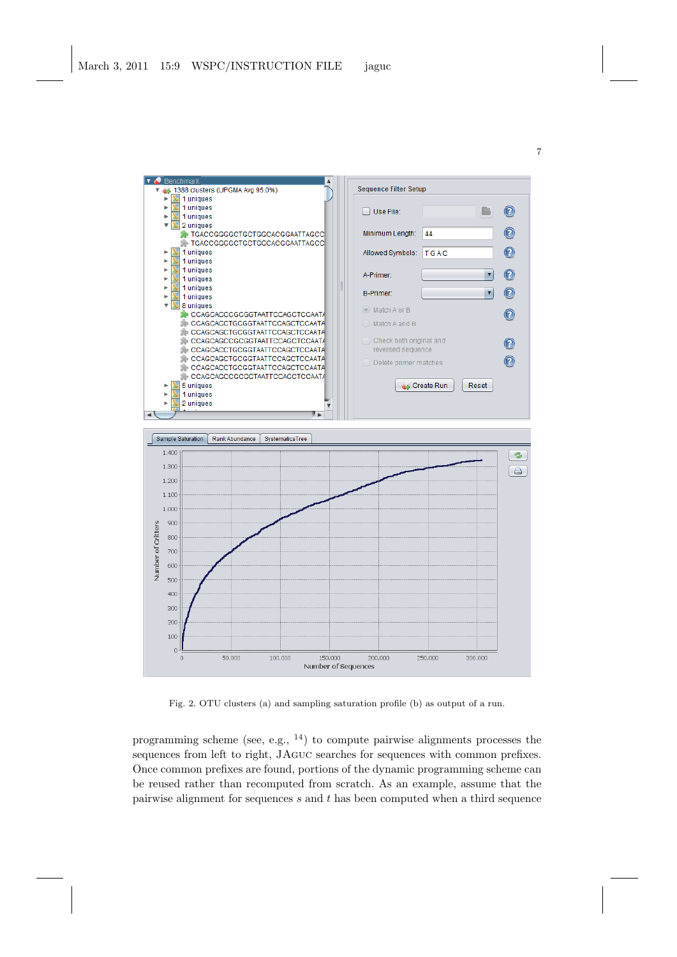

Fig. 2. OTU clusters (a) and sampling saturation profile (b) as output of a run.

programming scheme (see, e.g., <sup>14</sup>) to compute pairwise alignments processes the sequences from left to right, JAguc searches for sequences with common prefixes. Once common prefixes are found, portions of the dynamic programming scheme can be reused rather than recomputed from scratch. As an example, assume that the pairwise alignment for sequences  $s$  and  $t$  has been computed when a third sequence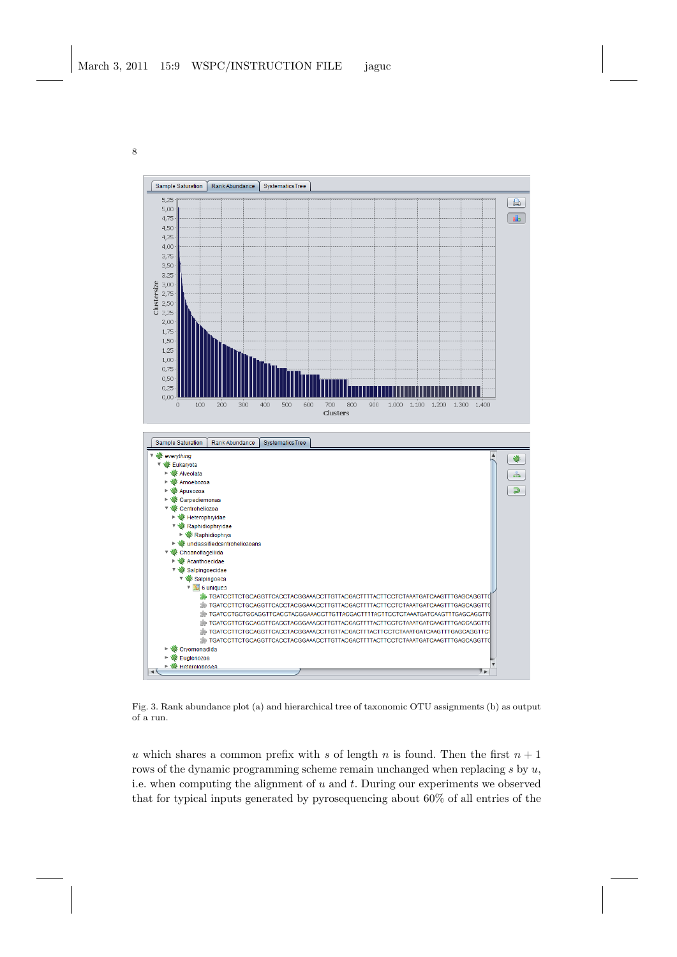

Fig. 3. Rank abundance plot (a) and hierarchical tree of taxonomic OTU assignments (b) as output of a run.

u which shares a common prefix with s of length n is found. Then the first  $n + 1$ rows of the dynamic programming scheme remain unchanged when replacing  $s$  by  $u$ , i.e. when computing the alignment of  $u$  and  $t$ . During our experiments we observed that for typical inputs generated by pyrosequencing about 60% of all entries of the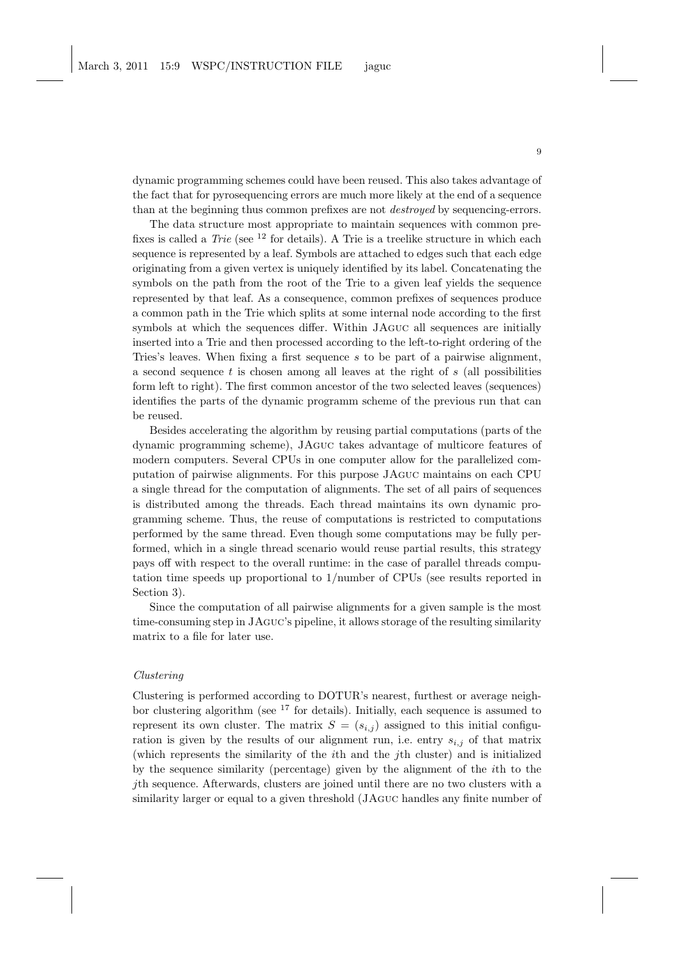dynamic programming schemes could have been reused. This also takes advantage of the fact that for pyrosequencing errors are much more likely at the end of a sequence than at the beginning thus common prefixes are not destroyed by sequencing-errors.

The data structure most appropriate to maintain sequences with common prefixes is called a Trie (see  $^{12}$  for details). A Trie is a treelike structure in which each sequence is represented by a leaf. Symbols are attached to edges such that each edge originating from a given vertex is uniquely identified by its label. Concatenating the symbols on the path from the root of the Trie to a given leaf yields the sequence represented by that leaf. As a consequence, common prefixes of sequences produce a common path in the Trie which splits at some internal node according to the first symbols at which the sequences differ. Within JAguc all sequences are initially inserted into a Trie and then processed according to the left-to-right ordering of the Tries's leaves. When fixing a first sequence s to be part of a pairwise alignment, a second sequence  $t$  is chosen among all leaves at the right of  $s$  (all possibilities form left to right). The first common ancestor of the two selected leaves (sequences) identifies the parts of the dynamic programm scheme of the previous run that can be reused.

Besides accelerating the algorithm by reusing partial computations (parts of the dynamic programming scheme), JAguc takes advantage of multicore features of modern computers. Several CPUs in one computer allow for the parallelized computation of pairwise alignments. For this purpose JAguc maintains on each CPU a single thread for the computation of alignments. The set of all pairs of sequences is distributed among the threads. Each thread maintains its own dynamic programming scheme. Thus, the reuse of computations is restricted to computations performed by the same thread. Even though some computations may be fully performed, which in a single thread scenario would reuse partial results, this strategy pays off with respect to the overall runtime: in the case of parallel threads computation time speeds up proportional to 1/number of CPUs (see results reported in Section 3).

Since the computation of all pairwise alignments for a given sample is the most time-consuming step in JAguc's pipeline, it allows storage of the resulting similarity matrix to a file for later use.

#### Clustering

Clustering is performed according to DOTUR's nearest, furthest or average neighbor clustering algorithm (see <sup>17</sup> for details). Initially, each sequence is assumed to represent its own cluster. The matrix  $S = (s_{i,j})$  assigned to this initial configuration is given by the results of our alignment run, i.e. entry  $s_{i,j}$  of that matrix (which represents the similarity of the ith and the jth cluster) and is initialized by the sequence similarity (percentage) given by the alignment of the ith to the jth sequence. Afterwards, clusters are joined until there are no two clusters with a similarity larger or equal to a given threshold (JAguc handles any finite number of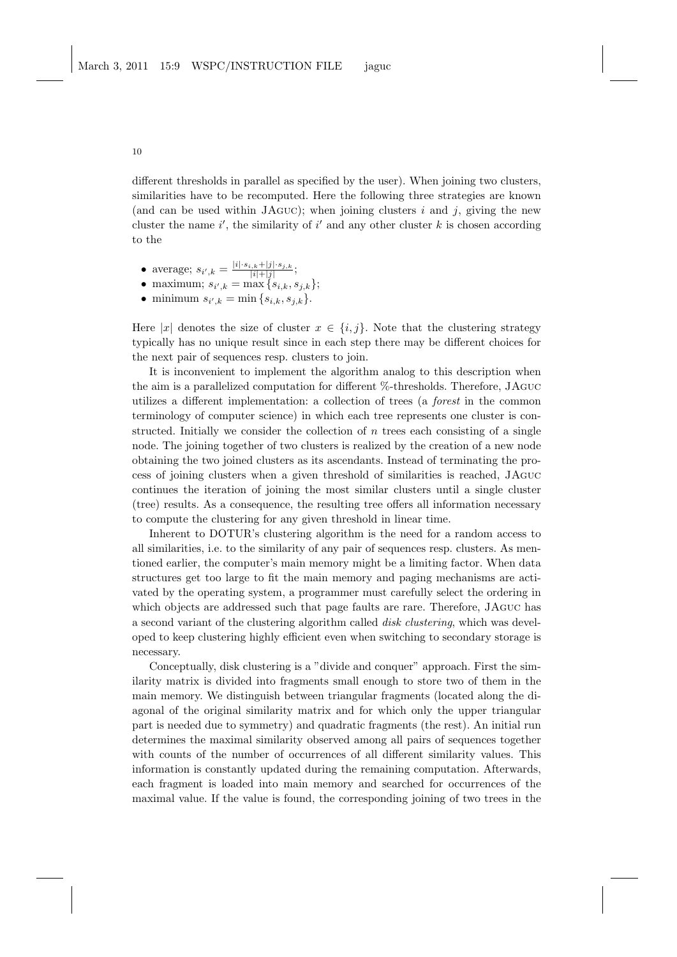different thresholds in parallel as specified by the user). When joining two clusters, similarities have to be recomputed. Here the following three strategies are known (and can be used within JAGUC); when joining clusters i and j, giving the new cluster the name  $i'$ , the similarity of  $i'$  and any other cluster k is chosen according to the

- average;  $s_{i',k} = \frac{|i| \cdot s_{i,k} + |j| \cdot s_{j,k}}{|i| + |j|};$
- maximum;  $s_{i',k} = \max\{s_{i,k}, s_{j,k}\};$
- minimum  $s_{i',k} = \min\{s_{i,k}, s_{j,k}\}.$

Here |x| denotes the size of cluster  $x \in \{i, j\}$ . Note that the clustering strategy typically has no unique result since in each step there may be different choices for the next pair of sequences resp. clusters to join.

It is inconvenient to implement the algorithm analog to this description when the aim is a parallelized computation for different %-thresholds. Therefore, JAguc utilizes a different implementation: a collection of trees (a forest in the common terminology of computer science) in which each tree represents one cluster is constructed. Initially we consider the collection of  $n$  trees each consisting of a single node. The joining together of two clusters is realized by the creation of a new node obtaining the two joined clusters as its ascendants. Instead of terminating the process of joining clusters when a given threshold of similarities is reached, JAguc continues the iteration of joining the most similar clusters until a single cluster (tree) results. As a consequence, the resulting tree offers all information necessary to compute the clustering for any given threshold in linear time.

Inherent to DOTUR's clustering algorithm is the need for a random access to all similarities, i.e. to the similarity of any pair of sequences resp. clusters. As mentioned earlier, the computer's main memory might be a limiting factor. When data structures get too large to fit the main memory and paging mechanisms are activated by the operating system, a programmer must carefully select the ordering in which objects are addressed such that page faults are rare. Therefore, JAguc has a second variant of the clustering algorithm called *disk clustering*, which was developed to keep clustering highly efficient even when switching to secondary storage is necessary.

Conceptually, disk clustering is a "divide and conquer" approach. First the similarity matrix is divided into fragments small enough to store two of them in the main memory. We distinguish between triangular fragments (located along the diagonal of the original similarity matrix and for which only the upper triangular part is needed due to symmetry) and quadratic fragments (the rest). An initial run determines the maximal similarity observed among all pairs of sequences together with counts of the number of occurrences of all different similarity values. This information is constantly updated during the remaining computation. Afterwards, each fragment is loaded into main memory and searched for occurrences of the maximal value. If the value is found, the corresponding joining of two trees in the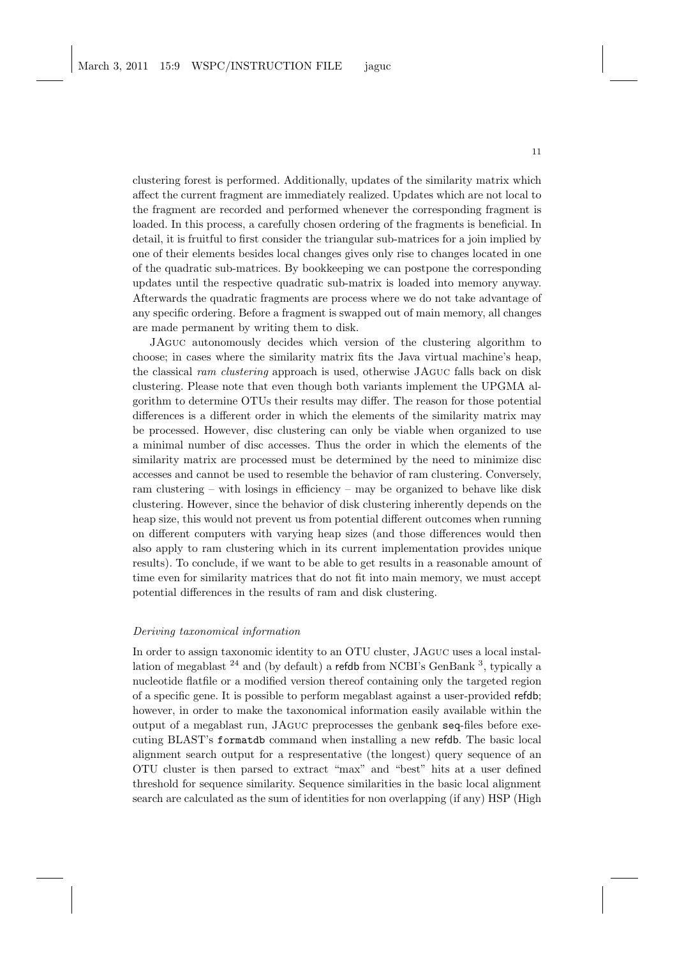clustering forest is performed. Additionally, updates of the similarity matrix which affect the current fragment are immediately realized. Updates which are not local to the fragment are recorded and performed whenever the corresponding fragment is loaded. In this process, a carefully chosen ordering of the fragments is beneficial. In detail, it is fruitful to first consider the triangular sub-matrices for a join implied by one of their elements besides local changes gives only rise to changes located in one of the quadratic sub-matrices. By bookkeeping we can postpone the corresponding updates until the respective quadratic sub-matrix is loaded into memory anyway. Afterwards the quadratic fragments are process where we do not take advantage of any specific ordering. Before a fragment is swapped out of main memory, all changes are made permanent by writing them to disk.

JAguc autonomously decides which version of the clustering algorithm to choose; in cases where the similarity matrix fits the Java virtual machine's heap, the classical ram clustering approach is used, otherwise JAguc falls back on disk clustering. Please note that even though both variants implement the UPGMA algorithm to determine OTUs their results may differ. The reason for those potential differences is a different order in which the elements of the similarity matrix may be processed. However, disc clustering can only be viable when organized to use a minimal number of disc accesses. Thus the order in which the elements of the similarity matrix are processed must be determined by the need to minimize disc accesses and cannot be used to resemble the behavior of ram clustering. Conversely, ram clustering – with losings in efficiency – may be organized to behave like disk clustering. However, since the behavior of disk clustering inherently depends on the heap size, this would not prevent us from potential different outcomes when running on different computers with varying heap sizes (and those differences would then also apply to ram clustering which in its current implementation provides unique results). To conclude, if we want to be able to get results in a reasonable amount of time even for similarity matrices that do not fit into main memory, we must accept potential differences in the results of ram and disk clustering.

#### Deriving taxonomical information

In order to assign taxonomic identity to an OTU cluster, JAguc uses a local installation of megablast <sup>24</sup> and (by default) a refdb from NCBI's GenBank <sup>3</sup>, typically a nucleotide flatfile or a modified version thereof containing only the targeted region of a specific gene. It is possible to perform megablast against a user-provided refdb; however, in order to make the taxonomical information easily available within the output of a megablast run, JAguc preprocesses the genbank seq-files before executing BLAST's formatdb command when installing a new refdb. The basic local alignment search output for a respresentative (the longest) query sequence of an OTU cluster is then parsed to extract "max" and "best" hits at a user defined threshold for sequence similarity. Sequence similarities in the basic local alignment search are calculated as the sum of identities for non overlapping (if any) HSP (High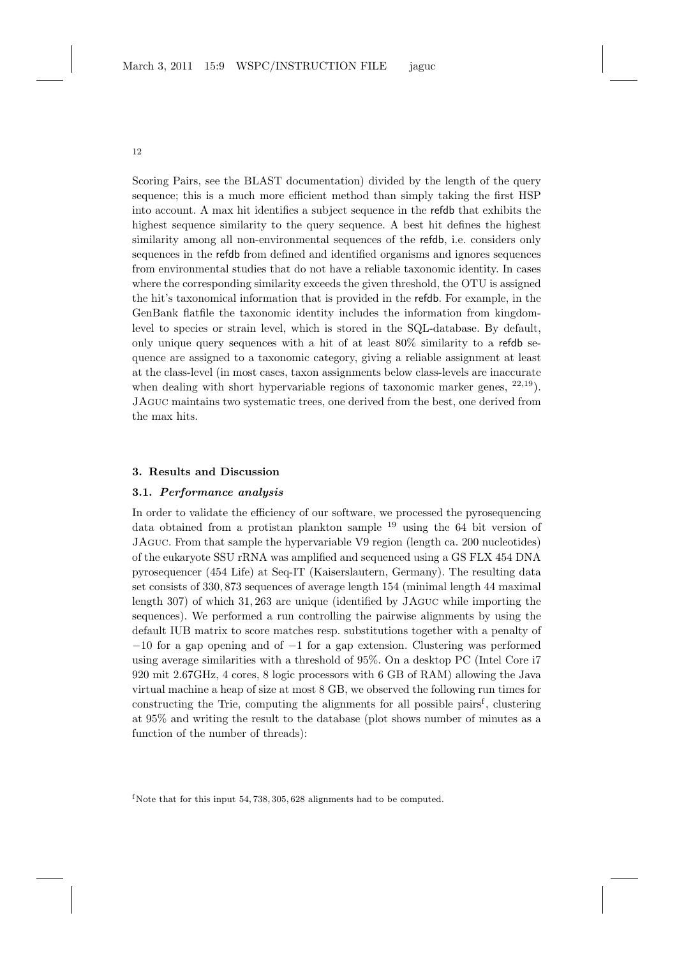Scoring Pairs, see the BLAST documentation) divided by the length of the query sequence; this is a much more efficient method than simply taking the first HSP into account. A max hit identifies a subject sequence in the refdb that exhibits the highest sequence similarity to the query sequence. A best hit defines the highest similarity among all non-environmental sequences of the refdb, i.e. considers only sequences in the refdb from defined and identified organisms and ignores sequences from environmental studies that do not have a reliable taxonomic identity. In cases where the corresponding similarity exceeds the given threshold, the OTU is assigned the hit's taxonomical information that is provided in the refdb. For example, in the GenBank flatfile the taxonomic identity includes the information from kingdomlevel to species or strain level, which is stored in the SQL-database. By default, only unique query sequences with a hit of at least  $80\%$  similarity to a refdb sequence are assigned to a taxonomic category, giving a reliable assignment at least at the class-level (in most cases, taxon assignments below class-levels are inaccurate when dealing with short hypervariable regions of taxonomic marker genes,  $22,19$ ). JAguc maintains two systematic trees, one derived from the best, one derived from the max hits.

#### 3. Results and Discussion

### 3.1. Performance analysis

In order to validate the efficiency of our software, we processed the pyrosequencing data obtained from a protistan plankton sample  $^{19}$  using the 64 bit version of JAguc. From that sample the hypervariable V9 region (length ca. 200 nucleotides) of the eukaryote SSU rRNA was amplified and sequenced using a GS FLX 454 DNA pyrosequencer (454 Life) at Seq-IT (Kaiserslautern, Germany). The resulting data set consists of 330, 873 sequences of average length 154 (minimal length 44 maximal length 307) of which 31, 263 are unique (identified by JAguc while importing the sequences). We performed a run controlling the pairwise alignments by using the default IUB matrix to score matches resp. substitutions together with a penalty of −10 for a gap opening and of −1 for a gap extension. Clustering was performed using average similarities with a threshold of 95%. On a desktop PC (Intel Core i7 920 mit 2.67GHz, 4 cores, 8 logic processors with 6 GB of RAM) allowing the Java virtual machine a heap of size at most 8 GB, we observed the following run times for constructing the Trie, computing the alignments for all possible pairs<sup>f</sup>, clustering at 95% and writing the result to the database (plot shows number of minutes as a function of the number of threads):

f Note that for this input  $54,738,305,628$  alignments had to be computed.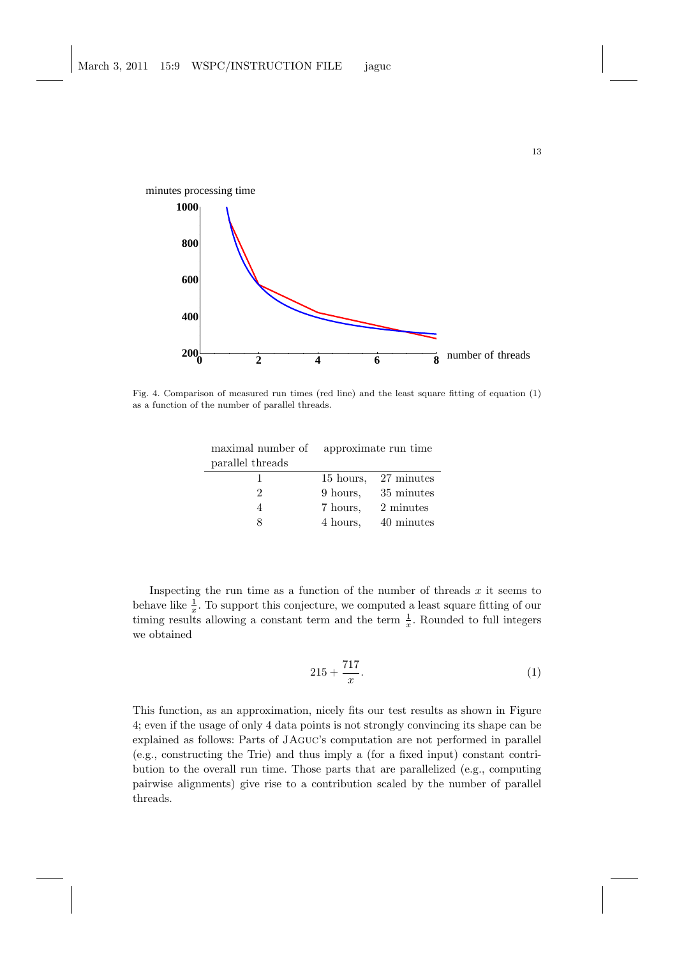

Fig. 4. Comparison of measured run times (red line) and the least square fitting of equation (1) as a function of the number of parallel threads.

| maximal number of | approximate run time |                      |
|-------------------|----------------------|----------------------|
| parallel threads  |                      |                      |
|                   |                      | 15 hours, 27 minutes |
|                   | 9 hours.             | 35 minutes           |
|                   | 7 hours,             | 2 minutes            |
|                   | 4 hours,             | 40 minutes           |

Inspecting the run time as a function of the number of threads  $x$  it seems to behave like  $\frac{1}{x}$ . To support this conjecture, we computed a least square fitting of our timing results allowing a constant term and the term  $\frac{1}{x}$ . Rounded to full integers we obtained

$$
215 + \frac{717}{x}.\t(1)
$$

This function, as an approximation, nicely fits our test results as shown in Figure 4; even if the usage of only 4 data points is not strongly convincing its shape can be explained as follows: Parts of JAguc's computation are not performed in parallel (e.g., constructing the Trie) and thus imply a (for a fixed input) constant contribution to the overall run time. Those parts that are parallelized (e.g., computing pairwise alignments) give rise to a contribution scaled by the number of parallel threads.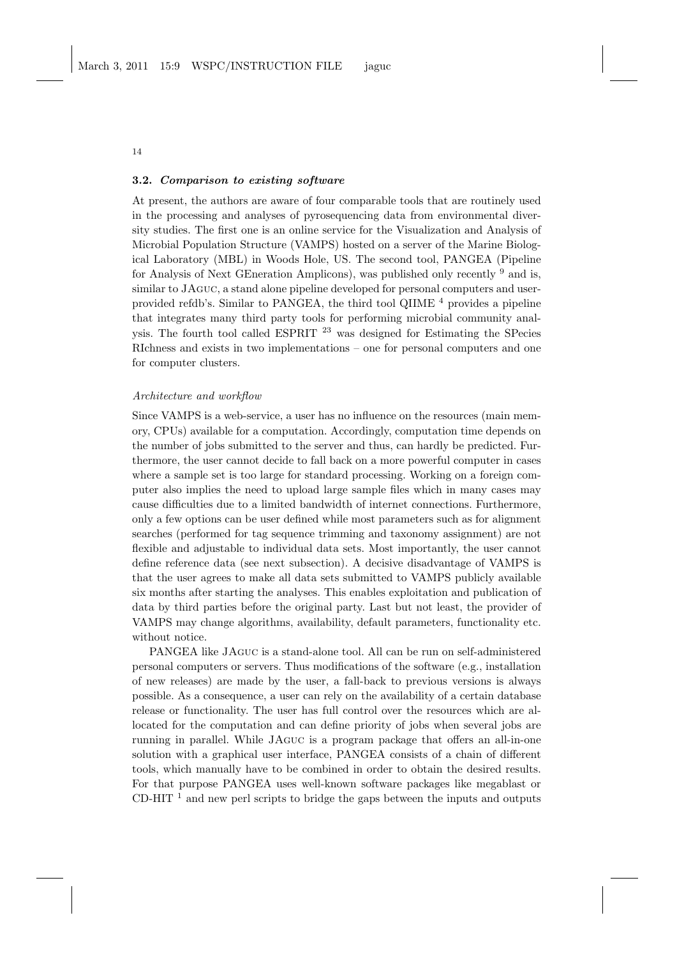## 3.2. Comparison to existing software

At present, the authors are aware of four comparable tools that are routinely used in the processing and analyses of pyrosequencing data from environmental diversity studies. The first one is an online service for the Visualization and Analysis of Microbial Population Structure (VAMPS) hosted on a server of the Marine Biological Laboratory (MBL) in Woods Hole, US. The second tool, PANGEA (Pipeline for Analysis of Next GEneration Amplicons), was published only recently <sup>9</sup> and is, similar to JAguc, a stand alone pipeline developed for personal computers and userprovided refdb's. Similar to PANGEA, the third tool QIIME  $^4$  provides a pipeline that integrates many third party tools for performing microbial community analysis. The fourth tool called ESPRIT  $^{23}$  was designed for Estimating the SPecies RIchness and exists in two implementations – one for personal computers and one for computer clusters.

### Architecture and workflow

Since VAMPS is a web-service, a user has no influence on the resources (main memory, CPUs) available for a computation. Accordingly, computation time depends on the number of jobs submitted to the server and thus, can hardly be predicted. Furthermore, the user cannot decide to fall back on a more powerful computer in cases where a sample set is too large for standard processing. Working on a foreign computer also implies the need to upload large sample files which in many cases may cause difficulties due to a limited bandwidth of internet connections. Furthermore, only a few options can be user defined while most parameters such as for alignment searches (performed for tag sequence trimming and taxonomy assignment) are not flexible and adjustable to individual data sets. Most importantly, the user cannot define reference data (see next subsection). A decisive disadvantage of VAMPS is that the user agrees to make all data sets submitted to VAMPS publicly available six months after starting the analyses. This enables exploitation and publication of data by third parties before the original party. Last but not least, the provider of VAMPS may change algorithms, availability, default parameters, functionality etc. without notice.

PANGEA like JAguc is a stand-alone tool. All can be run on self-administered personal computers or servers. Thus modifications of the software (e.g., installation of new releases) are made by the user, a fall-back to previous versions is always possible. As a consequence, a user can rely on the availability of a certain database release or functionality. The user has full control over the resources which are allocated for the computation and can define priority of jobs when several jobs are running in parallel. While JAguc is a program package that offers an all-in-one solution with a graphical user interface, PANGEA consists of a chain of different tools, which manually have to be combined in order to obtain the desired results. For that purpose PANGEA uses well-known software packages like megablast or CD-HIT  $<sup>1</sup>$  and new perl scripts to bridge the gaps between the inputs and outputs</sup>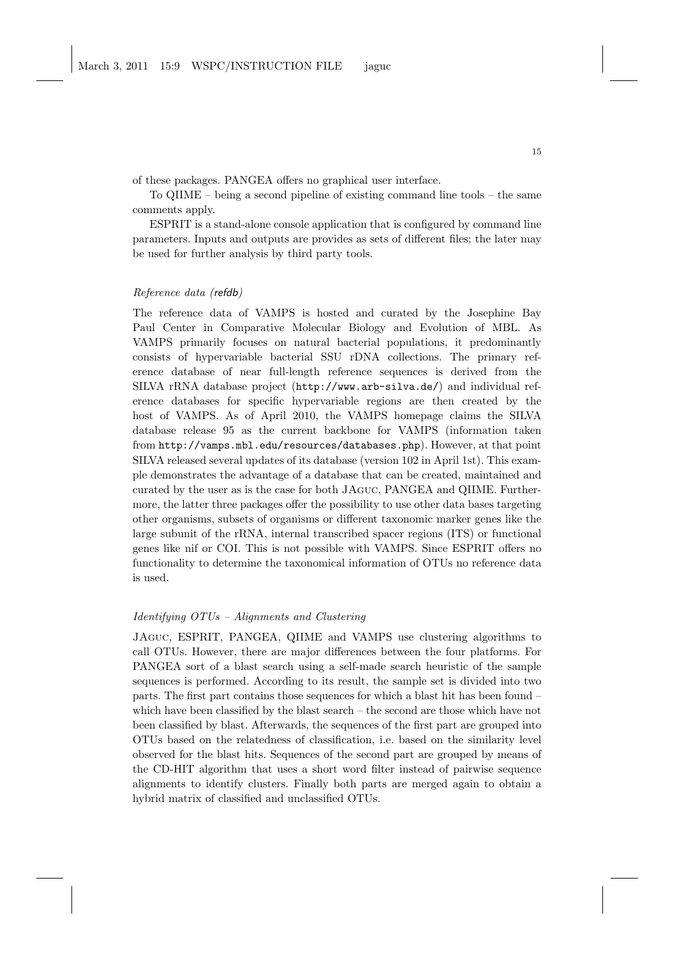of these packages. PANGEA offers no graphical user interface.

To QIIME – being a second pipeline of existing command line tools – the same comments apply.

ESPRIT is a stand-alone console application that is configured by command line parameters. Inputs and outputs are provides as sets of different files; the later may be used for further analysis by third party tools.

## Reference data (refdb)

The reference data of VAMPS is hosted and curated by the Josephine Bay Paul Center in Comparative Molecular Biology and Evolution of MBL. As VAMPS primarily focuses on natural bacterial populations, it predominantly consists of hypervariable bacterial SSU rDNA collections. The primary reference database of near full-length reference sequences is derived from the SILVA rRNA database project (http://www.arb-silva.de/) and individual reference databases for specific hypervariable regions are then created by the host of VAMPS. As of April 2010, the VAMPS homepage claims the SILVA database release 95 as the current backbone for VAMPS (information taken from http://vamps.mbl.edu/resources/databases.php). However, at that point SILVA released several updates of its database (version 102 in April 1st). This example demonstrates the advantage of a database that can be created, maintained and curated by the user as is the case for both JAguc, PANGEA and QIIME. Furthermore, the latter three packages offer the possibility to use other data bases targeting other organisms, subsets of organisms or different taxonomic marker genes like the large subunit of the rRNA, internal transcribed spacer regions (ITS) or functional genes like nif or COI. This is not possible with VAMPS. Since ESPRIT offers no functionality to determine the taxonomical information of OTUs no reference data is used.

### Identifying OTUs – Alignments and Clustering

JAguc, ESPRIT, PANGEA, QIIME and VAMPS use clustering algorithms to call OTUs. However, there are major differences between the four platforms. For PANGEA sort of a blast search using a self-made search heuristic of the sample sequences is performed. According to its result, the sample set is divided into two parts. The first part contains those sequences for which a blast hit has been found – which have been classified by the blast search – the second are those which have not been classified by blast. Afterwards, the sequences of the first part are grouped into OTUs based on the relatedness of classification, i.e. based on the similarity level observed for the blast hits. Sequences of the second part are grouped by means of the CD-HIT algorithm that uses a short word filter instead of pairwise sequence alignments to identify clusters. Finally both parts are merged again to obtain a hybrid matrix of classified and unclassified OTUs.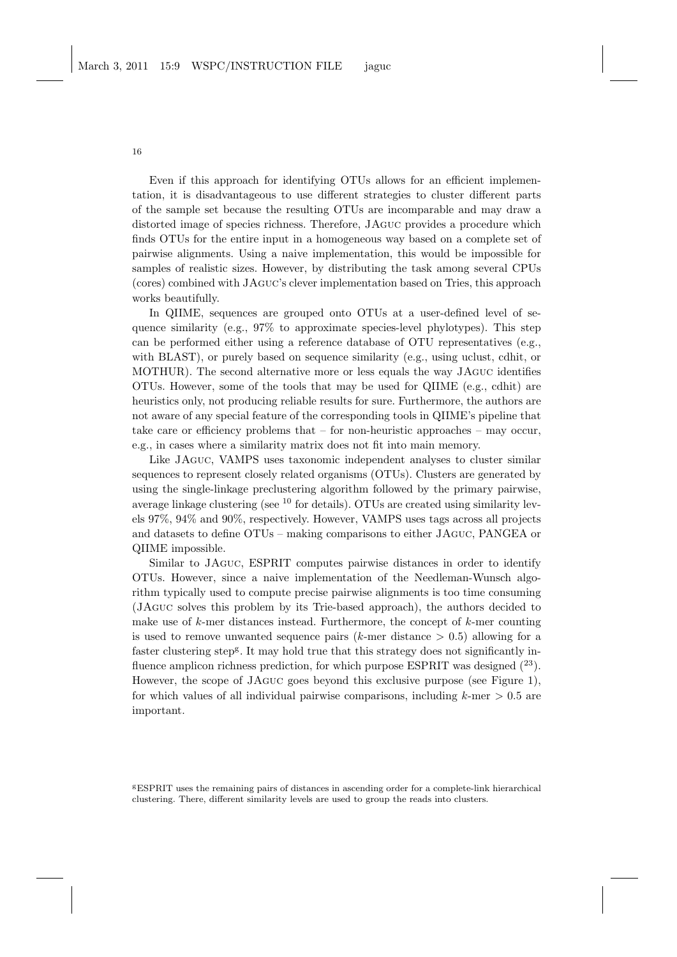Even if this approach for identifying OTUs allows for an efficient implementation, it is disadvantageous to use different strategies to cluster different parts of the sample set because the resulting OTUs are incomparable and may draw a distorted image of species richness. Therefore, JAguc provides a procedure which finds OTUs for the entire input in a homogeneous way based on a complete set of pairwise alignments. Using a naive implementation, this would be impossible for samples of realistic sizes. However, by distributing the task among several CPUs (cores) combined with JAguc's clever implementation based on Tries, this approach works beautifully.

In QIIME, sequences are grouped onto OTUs at a user-defined level of sequence similarity (e.g., 97% to approximate species-level phylotypes). This step can be performed either using a reference database of OTU representatives (e.g., with BLAST), or purely based on sequence similarity (e.g., using uclust, cdhit, or MOTHUR). The second alternative more or less equals the way JAguc identifies OTUs. However, some of the tools that may be used for QIIME (e.g., cdhit) are heuristics only, not producing reliable results for sure. Furthermore, the authors are not aware of any special feature of the corresponding tools in QIIME's pipeline that take care or efficiency problems that  $-$  for non-heuristic approaches  $-$  may occur, e.g., in cases where a similarity matrix does not fit into main memory.

Like JAguc, VAMPS uses taxonomic independent analyses to cluster similar sequences to represent closely related organisms (OTUs). Clusters are generated by using the single-linkage preclustering algorithm followed by the primary pairwise, average linkage clustering (see  $10$  for details). OTUs are created using similarity levels 97%, 94% and 90%, respectively. However, VAMPS uses tags across all projects and datasets to define OTUs – making comparisons to either JAguc, PANGEA or QIIME impossible.

Similar to JAguc, ESPRIT computes pairwise distances in order to identify OTUs. However, since a naive implementation of the Needleman-Wunsch algorithm typically used to compute precise pairwise alignments is too time consuming (JAguc solves this problem by its Trie-based approach), the authors decided to make use of  $k$ -mer distances instead. Furthermore, the concept of  $k$ -mer counting is used to remove unwanted sequence pairs  $(k$ -mer distance  $> 0.5$ ) allowing for a faster clustering step<sup>g</sup>. It may hold true that this strategy does not significantly influence amplicon richness prediction, for which purpose ESPRIT was designed  $(^{23})$ . However, the scope of JAguc goes beyond this exclusive purpose (see Figure 1), for which values of all individual pairwise comparisons, including  $k$ -mer  $> 0.5$  are important.

<sup>g</sup>ESPRIT uses the remaining pairs of distances in ascending order for a complete-link hierarchical clustering. There, different similarity levels are used to group the reads into clusters.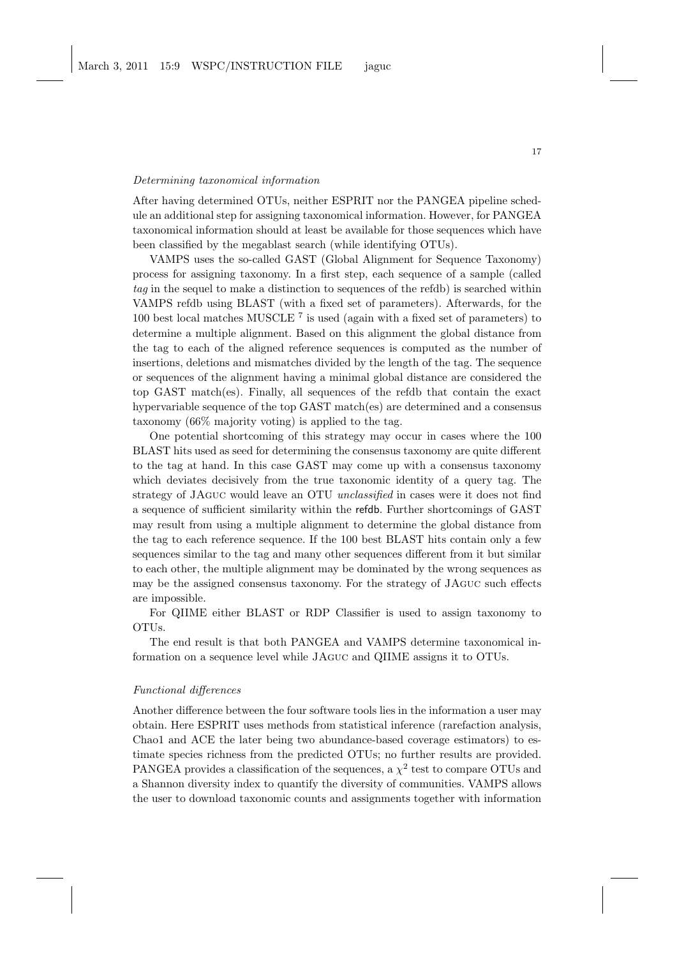#### Determining taxonomical information

After having determined OTUs, neither ESPRIT nor the PANGEA pipeline schedule an additional step for assigning taxonomical information. However, for PANGEA taxonomical information should at least be available for those sequences which have been classified by the megablast search (while identifying OTUs).

VAMPS uses the so-called GAST (Global Alignment for Sequence Taxonomy) process for assigning taxonomy. In a first step, each sequence of a sample (called tag in the sequel to make a distinction to sequences of the refdb) is searched within VAMPS refdb using BLAST (with a fixed set of parameters). Afterwards, for the 100 best local matches MUSCLE <sup>7</sup> is used (again with a fixed set of parameters) to determine a multiple alignment. Based on this alignment the global distance from the tag to each of the aligned reference sequences is computed as the number of insertions, deletions and mismatches divided by the length of the tag. The sequence or sequences of the alignment having a minimal global distance are considered the top GAST match(es). Finally, all sequences of the refdb that contain the exact hypervariable sequence of the top GAST match(es) are determined and a consensus taxonomy (66% majority voting) is applied to the tag.

One potential shortcoming of this strategy may occur in cases where the 100 BLAST hits used as seed for determining the consensus taxonomy are quite different to the tag at hand. In this case GAST may come up with a consensus taxonomy which deviates decisively from the true taxonomic identity of a query tag. The strategy of JAGUC would leave an OTU *unclassified* in cases were it does not find a sequence of sufficient similarity within the refdb. Further shortcomings of GAST may result from using a multiple alignment to determine the global distance from the tag to each reference sequence. If the 100 best BLAST hits contain only a few sequences similar to the tag and many other sequences different from it but similar to each other, the multiple alignment may be dominated by the wrong sequences as may be the assigned consensus taxonomy. For the strategy of JAguc such effects are impossible.

For QIIME either BLAST or RDP Classifier is used to assign taxonomy to OTUs.

The end result is that both PANGEA and VAMPS determine taxonomical information on a sequence level while JAguc and QIIME assigns it to OTUs.

### Functional differences

Another difference between the four software tools lies in the information a user may obtain. Here ESPRIT uses methods from statistical inference (rarefaction analysis, Chao1 and ACE the later being two abundance-based coverage estimators) to estimate species richness from the predicted OTUs; no further results are provided. PANGEA provides a classification of the sequences, a  $\chi^2$  test to compare OTUs and a Shannon diversity index to quantify the diversity of communities. VAMPS allows the user to download taxonomic counts and assignments together with information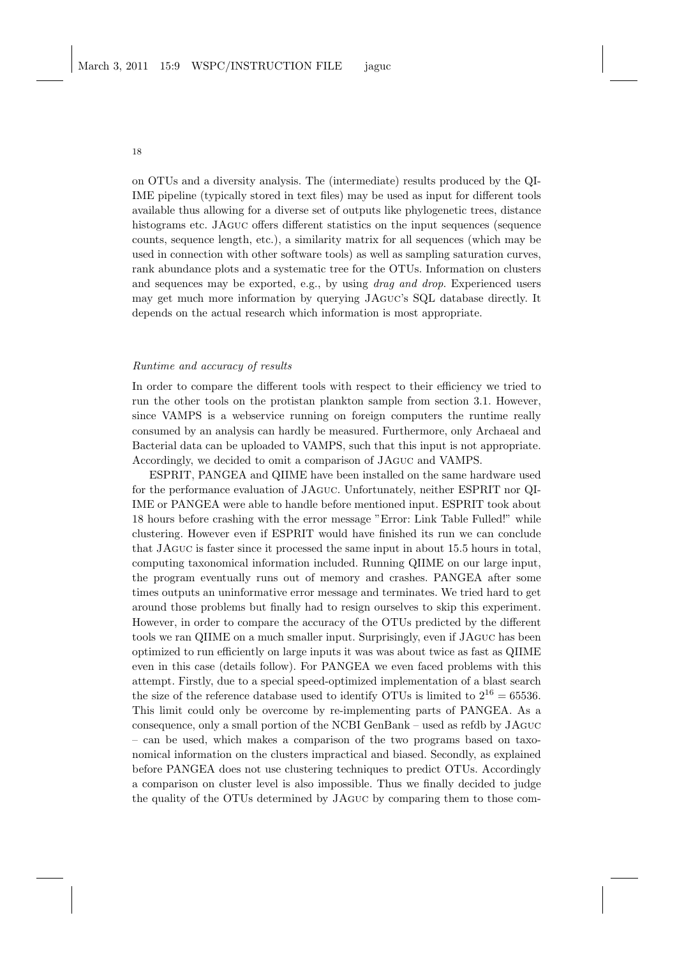18

on OTUs and a diversity analysis. The (intermediate) results produced by the QI-IME pipeline (typically stored in text files) may be used as input for different tools available thus allowing for a diverse set of outputs like phylogenetic trees, distance histograms etc. JAguc offers different statistics on the input sequences (sequence counts, sequence length, etc.), a similarity matrix for all sequences (which may be used in connection with other software tools) as well as sampling saturation curves, rank abundance plots and a systematic tree for the OTUs. Information on clusters and sequences may be exported, e.g., by using *drag and drop*. Experienced users may get much more information by querying JAguc's SQL database directly. It depends on the actual research which information is most appropriate.

#### Runtime and accuracy of results

In order to compare the different tools with respect to their efficiency we tried to run the other tools on the protistan plankton sample from section 3.1. However, since VAMPS is a webservice running on foreign computers the runtime really consumed by an analysis can hardly be measured. Furthermore, only Archaeal and Bacterial data can be uploaded to VAMPS, such that this input is not appropriate. Accordingly, we decided to omit a comparison of JAguc and VAMPS.

ESPRIT, PANGEA and QIIME have been installed on the same hardware used for the performance evaluation of JAguc. Unfortunately, neither ESPRIT nor QI-IME or PANGEA were able to handle before mentioned input. ESPRIT took about 18 hours before crashing with the error message "Error: Link Table Fulled!" while clustering. However even if ESPRIT would have finished its run we can conclude that JAguc is faster since it processed the same input in about 15.5 hours in total, computing taxonomical information included. Running QIIME on our large input, the program eventually runs out of memory and crashes. PANGEA after some times outputs an uninformative error message and terminates. We tried hard to get around those problems but finally had to resign ourselves to skip this experiment. However, in order to compare the accuracy of the OTUs predicted by the different tools we ran QIIME on a much smaller input. Surprisingly, even if JAguc has been optimized to run efficiently on large inputs it was was about twice as fast as QIIME even in this case (details follow). For PANGEA we even faced problems with this attempt. Firstly, due to a special speed-optimized implementation of a blast search the size of the reference database used to identify OTUs is limited to  $2^{16} = 65536$ . This limit could only be overcome by re-implementing parts of PANGEA. As a consequence, only a small portion of the NCBI GenBank – used as refdb by JAguc – can be used, which makes a comparison of the two programs based on taxonomical information on the clusters impractical and biased. Secondly, as explained before PANGEA does not use clustering techniques to predict OTUs. Accordingly a comparison on cluster level is also impossible. Thus we finally decided to judge the quality of the OTUs determined by JAguc by comparing them to those com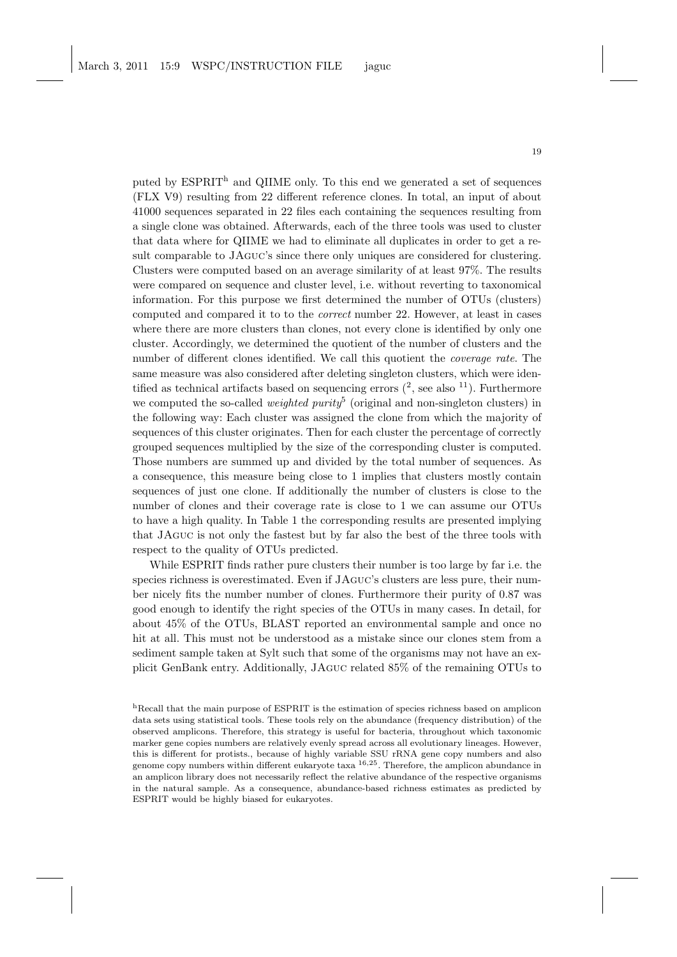puted by ESPRIT<sup>h</sup> and QIIME only. To this end we generated a set of sequences (FLX V9) resulting from 22 different reference clones. In total, an input of about 41000 sequences separated in 22 files each containing the sequences resulting from a single clone was obtained. Afterwards, each of the three tools was used to cluster that data where for QIIME we had to eliminate all duplicates in order to get a result comparable to JAguc's since there only uniques are considered for clustering. Clusters were computed based on an average similarity of at least 97%. The results were compared on sequence and cluster level, i.e. without reverting to taxonomical information. For this purpose we first determined the number of OTUs (clusters) computed and compared it to to the correct number 22. However, at least in cases where there are more clusters than clones, not every clone is identified by only one cluster. Accordingly, we determined the quotient of the number of clusters and the number of different clones identified. We call this quotient the *coverage rate*. The same measure was also considered after deleting singleton clusters, which were identified as technical artifacts based on sequencing errors  $(2, \text{see also }^{11})$ . Furthermore we computed the so-called *weighted purity*<sup>5</sup> (original and non-singleton clusters) in the following way: Each cluster was assigned the clone from which the majority of sequences of this cluster originates. Then for each cluster the percentage of correctly grouped sequences multiplied by the size of the corresponding cluster is computed. Those numbers are summed up and divided by the total number of sequences. As a consequence, this measure being close to 1 implies that clusters mostly contain sequences of just one clone. If additionally the number of clusters is close to the number of clones and their coverage rate is close to 1 we can assume our OTUs to have a high quality. In Table 1 the corresponding results are presented implying that JAguc is not only the fastest but by far also the best of the three tools with respect to the quality of OTUs predicted.

While ESPRIT finds rather pure clusters their number is too large by far i.e. the species richness is overestimated. Even if JAguc's clusters are less pure, their number nicely fits the number number of clones. Furthermore their purity of 0.87 was good enough to identify the right species of the OTUs in many cases. In detail, for about 45% of the OTUs, BLAST reported an environmental sample and once no hit at all. This must not be understood as a mistake since our clones stem from a sediment sample taken at Sylt such that some of the organisms may not have an explicit GenBank entry. Additionally, JAguc related 85% of the remaining OTUs to

 $h$ Recall that the main purpose of ESPRIT is the estimation of species richness based on amplicon data sets using statistical tools. These tools rely on the abundance (frequency distribution) of the observed amplicons. Therefore, this strategy is useful for bacteria, throughout which taxonomic marker gene copies numbers are relatively evenly spread across all evolutionary lineages. However, this is different for protists., because of highly variable SSU rRNA gene copy numbers and also genome copy numbers within different eukaryote taxa  $^{16,25}$ . Therefore, the amplicon abundance in an amplicon library does not necessarily reflect the relative abundance of the respective organisms in the natural sample. As a consequence, abundance-based richness estimates as predicted by ESPRIT would be highly biased for eukaryotes.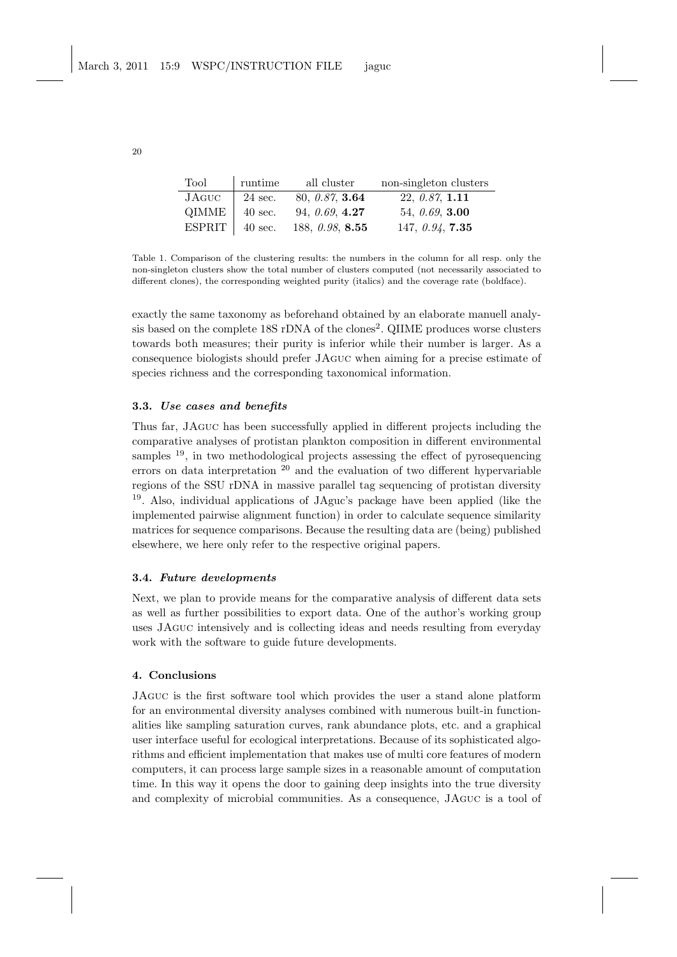| Tool   | runtime           | all cluster               | non-singleton clusters    |
|--------|-------------------|---------------------------|---------------------------|
| JAGUC  | 24 sec.           | 80, 0.87, 3.64            | 22, 0.87, 1.11            |
| QIMME  | $40 \text{ sec.}$ | 94, 0.69, 4.27            | 54, $0.69$ , <b>3.00</b>  |
| ESPRIT | $40 \text{ sec.}$ | 188, $0.98$ , <b>8.55</b> | 147, $0.94$ , <b>7.35</b> |

Table 1. Comparison of the clustering results: the numbers in the column for all resp. only the non-singleton clusters show the total number of clusters computed (not necessarily associated to different clones), the corresponding weighted purity (italics) and the coverage rate (boldface).

exactly the same taxonomy as beforehand obtained by an elaborate manuell analysis based on the complete  $18S$  rDNA of the clones<sup>2</sup>. QIIME produces worse clusters towards both measures; their purity is inferior while their number is larger. As a consequence biologists should prefer JAguc when aiming for a precise estimate of species richness and the corresponding taxonomical information.

## 3.3. Use cases and benefits

Thus far, JAguc has been successfully applied in different projects including the comparative analyses of protistan plankton composition in different environmental samples <sup>19</sup>, in two methodological projects assessing the effect of pyrosequencing errors on data interpretation  $2^0$  and the evaluation of two different hypervariable regions of the SSU rDNA in massive parallel tag sequencing of protistan diversity <sup>19</sup>. Also, individual applications of JAguc's package have been applied (like the implemented pairwise alignment function) in order to calculate sequence similarity matrices for sequence comparisons. Because the resulting data are (being) published elsewhere, we here only refer to the respective original papers.

### 3.4. Future developments

Next, we plan to provide means for the comparative analysis of different data sets as well as further possibilities to export data. One of the author's working group uses JAguc intensively and is collecting ideas and needs resulting from everyday work with the software to guide future developments.

### 4. Conclusions

JAguc is the first software tool which provides the user a stand alone platform for an environmental diversity analyses combined with numerous built-in functionalities like sampling saturation curves, rank abundance plots, etc. and a graphical user interface useful for ecological interpretations. Because of its sophisticated algorithms and efficient implementation that makes use of multi core features of modern computers, it can process large sample sizes in a reasonable amount of computation time. In this way it opens the door to gaining deep insights into the true diversity and complexity of microbial communities. As a consequence, JAguc is a tool of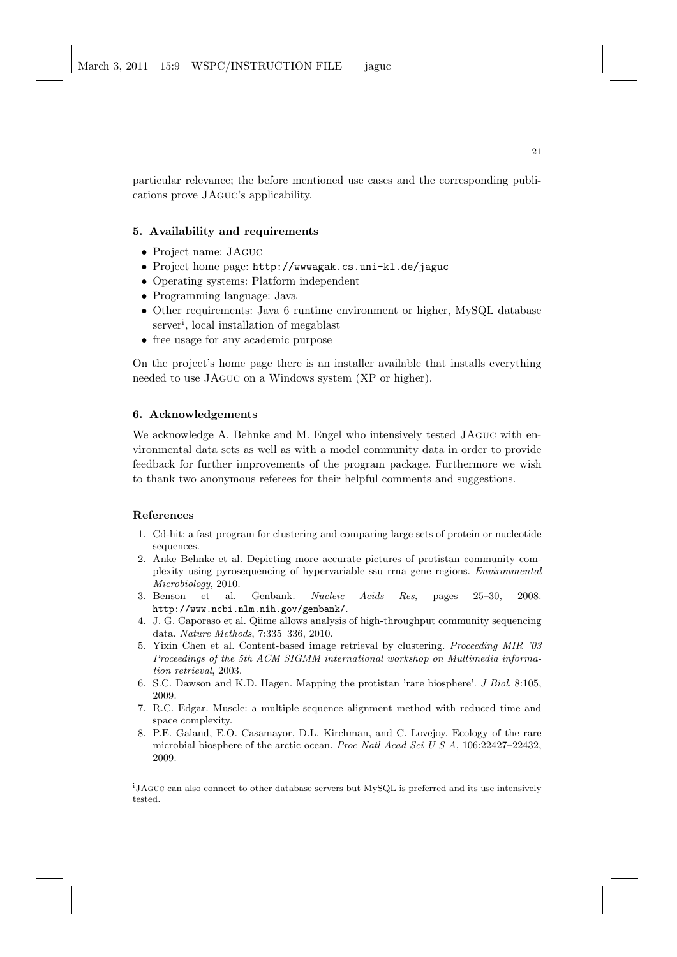particular relevance; the before mentioned use cases and the corresponding publications prove JAguc's applicability.

# 5. Availability and requirements

- Project name: JAguc
- Project home page: http://wwwagak.cs.uni-kl.de/jaguc
- Operating systems: Platform independent
- Programming language: Java
- Other requirements: Java 6 runtime environment or higher, MySQL database server<sup>i</sup> , local installation of megablast
- free usage for any academic purpose

On the project's home page there is an installer available that installs everything needed to use JAguc on a Windows system (XP or higher).

# 6. Acknowledgements

We acknowledge A. Behnke and M. Engel who intensively tested JAguc with environmental data sets as well as with a model community data in order to provide feedback for further improvements of the program package. Furthermore we wish to thank two anonymous referees for their helpful comments and suggestions.

# References

- 1. Cd-hit: a fast program for clustering and comparing large sets of protein or nucleotide sequences.
- 2. Anke Behnke et al. Depicting more accurate pictures of protistan community complexity using pyrosequencing of hypervariable ssu rrna gene regions. Environmental Microbiology, 2010.
- 3. Benson et al. Genbank. Nucleic Acids Res, pages 25–30, 2008. http://www.ncbi.nlm.nih.gov/genbank/.
- 4. J. G. Caporaso et al. Qiime allows analysis of high-throughput community sequencing data. Nature Methods, 7:335–336, 2010.
- 5. Yixin Chen et al. Content-based image retrieval by clustering. Proceeding MIR '03 Proceedings of the 5th ACM SIGMM international workshop on Multimedia information retrieval, 2003.
- 6. S.C. Dawson and K.D. Hagen. Mapping the protistan 'rare biosphere'. J Biol, 8:105, 2009.
- 7. R.C. Edgar. Muscle: a multiple sequence alignment method with reduced time and space complexity.
- 8. P.E. Galand, E.O. Casamayor, D.L. Kirchman, and C. Lovejoy. Ecology of the rare microbial biosphere of the arctic ocean. Proc Natl Acad Sci U S A, 106:22427–22432, 2009.

<sup>i</sup>JAGUC can also connect to other database servers but MySQL is preferred and its use intensively tested.